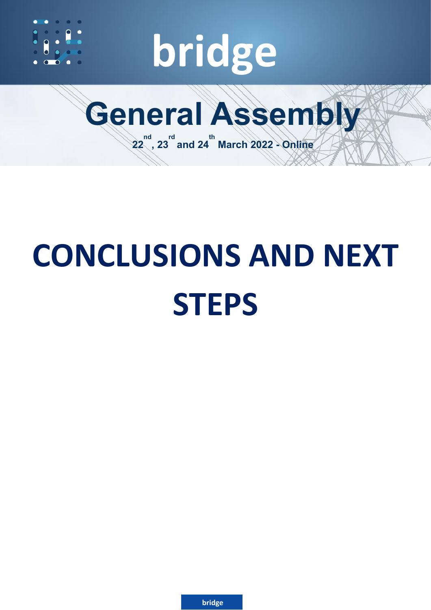

# **bridge**



# **CONCLUSIONS AND NEXT STEPS**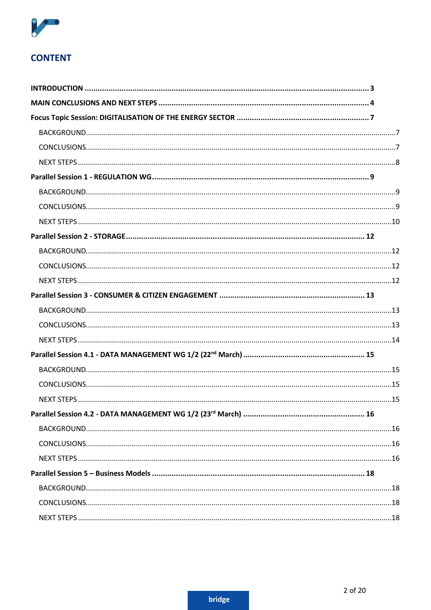

# **CONTENT**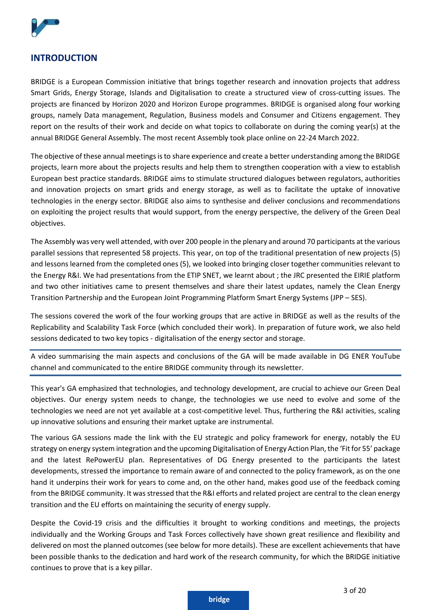

# <span id="page-2-0"></span>**INTRODUCTION**

BRIDGE is a European Commission initiative that brings together research and innovation projects that address Smart Grids, Energy Storage, Islands and Digitalisation to create a structured view of cross-cutting issues. The projects are financed by Horizon 2020 and Horizon Europe programmes. BRIDGE is organised along four working groups, namely Data management, Regulation, Business models and Consumer and Citizens engagement. They report on the results of their work and decide on what topics to collaborate on during the coming year(s) at the annual BRIDGE General Assembly. The most recent Assembly took place online on 22-24 March 2022.

The objective of these annual meetings is to share experience and create a better understanding among the BRIDGE projects, learn more about the projects results and help them to strengthen cooperation with a view to establish European best practice standards. BRIDGE aims to stimulate structured dialogues between regulators, authorities and innovation projects on smart grids and energy storage, as well as to facilitate the uptake of innovative technologies in the energy sector. BRIDGE also aims to synthesise and deliver conclusions and recommendations on exploiting the project results that would support, from the energy perspective, the delivery of the Green Deal objectives.

The Assembly was very well attended, with over 200 people in the plenary and around 70 participants at the various parallel sessions that represented 58 projects. This year, on top of the traditional presentation of new projects (5) and lessons learned from the completed ones (5), we looked into bringing closer together communities relevant to the Energy R&I. We had presentations from the ETIP SNET, we learnt about ; the JRC presented the EIRIE platform and two other initiatives came to present themselves and share their latest updates, namely the Clean Energy Transition Partnership and the European Joint Programming Platform Smart Energy Systems (JPP – SES).

The sessions covered the work of the four working groups that are active in BRIDGE as well as the results of the Replicability and Scalability Task Force (which concluded their work). In preparation of future work, we also held sessions dedicated to two key topics - digitalisation of the energy sector and storage.

A video summarising the main aspects and conclusions of the GA will be made available in DG ENER YouTube channel and communicated to the entire BRIDGE community through its newsletter.

This year's GA emphasized that technologies, and technology development, are crucial to achieve our Green Deal objectives. Our energy system needs to change, the technologies we use need to evolve and some of the technologies we need are not yet available at a cost-competitive level. Thus, furthering the R&I activities, scaling up innovative solutions and ensuring their market uptake are instrumental.

The various GA sessions made the link with the EU strategic and policy framework for energy, notably the EU strategy on energy system integration and the upcoming Digitalisation of Energy Action Plan, the 'Fit for 55' package and the latest RePowerEU plan. Representatives of DG Energy presented to the participants the latest developments, stressed the importance to remain aware of and connected to the policy framework, as on the one hand it underpins their work for years to come and, on the other hand, makes good use of the feedback coming from the BRIDGE community. It was stressed that the R&I efforts and related project are central to the clean energy transition and the EU efforts on maintaining the security of energy supply.

Despite the Covid-19 crisis and the difficulties it brought to working conditions and meetings, the projects individually and the Working Groups and Task Forces collectively have shown great resilience and flexibility and delivered on most the planned outcomes (see below for more details). These are excellent achievements that have been possible thanks to the dedication and hard work of the research community, for which the BRIDGE initiative continues to prove that is a key pillar.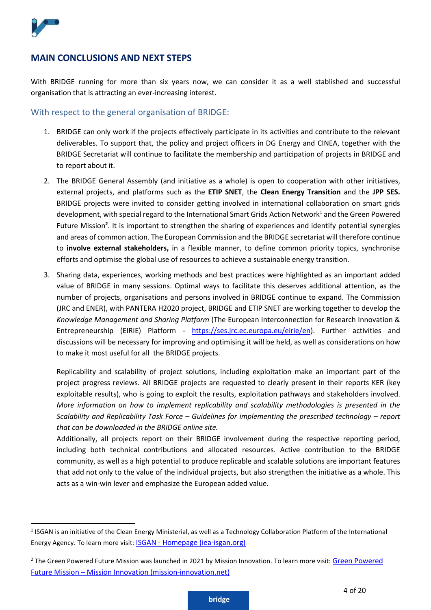

#### <span id="page-3-0"></span>**MAIN CONCLUSIONS AND NEXT STEPS**

With BRIDGE running for more than six years now, we can consider it as a well stablished and successful organisation that is attracting an ever-increasing interest.

#### With respect to the general organisation of BRIDGE:

- 1. BRIDGE can only work if the projects effectively participate in its activities and contribute to the relevant deliverables. To support that, the policy and project officers in DG Energy and CINEA, together with the BRIDGE Secretariat will continue to facilitate the membership and participation of projects in BRIDGE and to report about it.
- 2. The BRIDGE General Assembly (and initiative as a whole) is open to cooperation with other initiatives, external projects, and platforms such as the **ETIP SNET**, the **Clean Energy Transition** and the **JPP SES.**  BRIDGE projects were invited to consider getting involved in international collaboration on smart grids development, with special regard to the International Smart Grids Action Network<sup>1</sup> and the Green Powered Future Mission<sup>2</sup>. It is important to strengthen the sharing of experiences and identify potential synergies and areas of common action. The European Commission and the BRIDGE secretariat will therefore continue to **involve external stakeholders,** in a flexible manner, to define common priority topics, synchronise efforts and optimise the global use of resources to achieve a sustainable energy transition.
- 3. Sharing data, experiences, working methods and best practices were highlighted as an important added value of BRIDGE in many sessions. Optimal ways to facilitate this deserves additional attention, as the number of projects, organisations and persons involved in BRIDGE continue to expand. The Commission (JRC and ENER), with PANTERA H2020 project, BRIDGE and ETIP SNET are working together to develop the *Knowledge Management and Sharing Platform* (The European Interconnection for Research Innovation & Entrepreneurship (EIRIE) Platform - [https://ses.jrc.ec.europa.eu/eirie/en\)](https://ses.jrc.ec.europa.eu/eirie/en). Further activities and discussions will be necessary for improving and optimising it will be held, as well as considerations on how to make it most useful for all the BRIDGE projects.

Replicability and scalability of project solutions, including exploitation make an important part of the project progress reviews. All BRIDGE projects are requested to clearly present in their reports KER (key exploitable results), who is going to exploit the results, exploitation pathways and stakeholders involved. *More information on how to implement replicability and scalability methodologies is presented in the Scalability and Replicability Task Force – Guidelines for implementing the prescribed technology – report that can be downloaded in the BRIDGE online site.*

Additionally, all projects report on their BRIDGE involvement during the respective reporting period, including both technical contributions and allocated resources. Active contribution to the BRIDGE community, as well as a high potential to produce replicable and scalable solutions are important features that add not only to the value of the individual projects, but also strengthen the initiative as a whole. This acts as a win-win lever and emphasize the European added value.

<sup>&</sup>lt;sup>1</sup> ISGAN is an initiative of the Clean Energy Ministerial, as well as a Technology Collaboration Platform of the International Energy Agency. To learn more visit: ISGAN - [Homepage \(iea-isgan.org\)](https://www.iea-isgan.org/)

<sup>&</sup>lt;sup>2</sup> The [Green Powered](http://www.mission-innovation.net/missions/power/?msclkid=1b9b0ea8c79d11ec82905046d6d8abd9) Future Mission was launched in 2021 by Mission Innovation. To learn more visit: Green Powered Future Mission – [Mission Innovation \(mission-innovation.net\)](http://www.mission-innovation.net/missions/power/?msclkid=1b9b0ea8c79d11ec82905046d6d8abd9)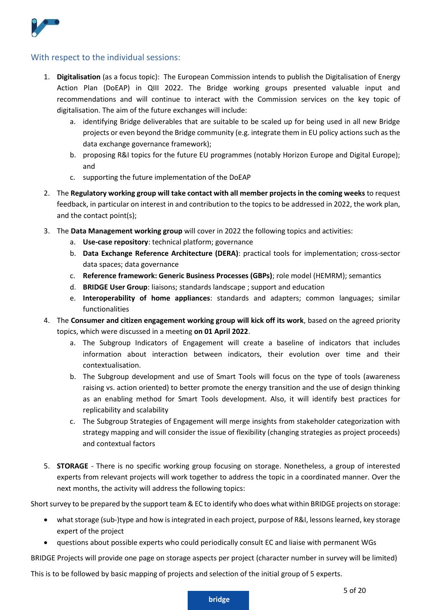

#### With respect to the individual sessions:

- 1. **Digitalisation** (as a focus topic): The European Commission intends to publish the Digitalisation of Energy Action Plan (DoEAP) in QIII 2022. The Bridge working groups presented valuable input and recommendations and will continue to interact with the Commission services on the key topic of digitalisation. The aim of the future exchanges will include:
	- a. identifying Bridge deliverables that are suitable to be scaled up for being used in all new Bridge projects or even beyond the Bridge community (e.g. integrate them in EU policy actions such as the data exchange governance framework);
	- b. proposing R&I topics for the future EU programmes (notably Horizon Europe and Digital Europe); and
	- c. supporting the future implementation of the DoEAP
- 2. The **Regulatory working group will take contact with all member projects in the coming weeks** to request feedback, in particular on interest in and contribution to the topics to be addressed in 2022, the work plan, and the contact point(s);
- 3. The **Data Management working group** will cover in 2022 the following topics and activities:
	- a. **Use-case repository**: technical platform; governance
	- b. **Data Exchange Reference Architecture (DERA)**: practical tools for implementation; cross-sector data spaces; data governance
	- c. **Reference framework: Generic Business Processes (GBPs)**; role model (HEMRM); semantics
	- d. **BRIDGE User Group**: liaisons; standards landscape ; support and education
	- e. **Interoperability of home appliances**: standards and adapters; common languages; similar functionalities
- 4. The **Consumer and citizen engagement working group will kick off its work**, based on the agreed priority topics, which were discussed in a meeting **on 01 April 2022**.
	- a. The Subgroup Indicators of Engagement will create a baseline of indicators that includes information about interaction between indicators, their evolution over time and their contextualisation.
	- b. The Subgroup development and use of Smart Tools will focus on the type of tools (awareness raising vs. action oriented) to better promote the energy transition and the use of design thinking as an enabling method for Smart Tools development. Also, it will identify best practices for replicability and scalability
	- c. The Subgroup Strategies of Engagement will merge insights from stakeholder categorization with strategy mapping and will consider the issue of flexibility (changing strategies as project proceeds) and contextual factors
- 5. **STORAGE** There is no specific working group focusing on storage. Nonetheless, a group of interested experts from relevant projects will work together to address the topic in a coordinated manner. Over the next months, the activity will address the following topics:

Short survey to be prepared by the support team & EC to identify who does what within BRIDGE projects on storage:

- what storage (sub-)type and how is integrated in each project, purpose of R&I, lessons learned, key storage expert of the project
- questions about possible experts who could periodically consult EC and liaise with permanent WGs

BRIDGE Projects will provide one page on storage aspects per project (character number in survey will be limited)

This is to be followed by basic mapping of projects and selection of the initial group of 5 experts.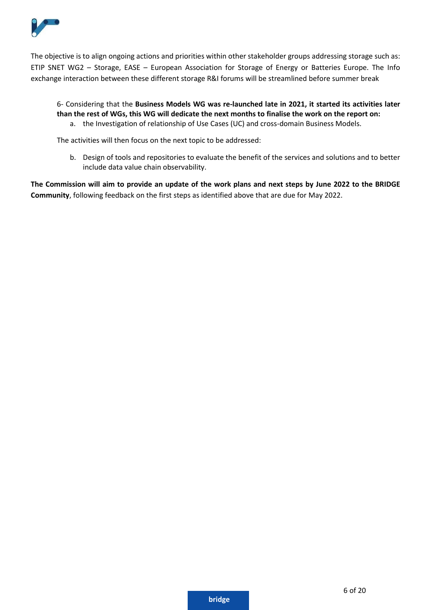

The objective is to align ongoing actions and priorities within other stakeholder groups addressing storage such as: ETIP SNET WG2 – Storage, EASE – European Association for Storage of Energy or Batteries Europe. The Info exchange interaction between these different storage R&I forums will be streamlined before summer break

# 6- Considering that the **Business Models WG was re-launched late in 2021, it started its activities later than the rest of WGs, this WG will dedicate the next months to finalise the work on the report on:**

a. the Investigation of relationship of Use Cases (UC) and cross-domain Business Models.

The activities will then focus on the next topic to be addressed:

b. Design of tools and repositories to evaluate the benefit of the services and solutions and to better include data value chain observability.

**The Commission will aim to provide an update of the work plans and next steps by June 2022 to the BRIDGE Community**, following feedback on the first steps as identified above that are due for May 2022.

6 of 20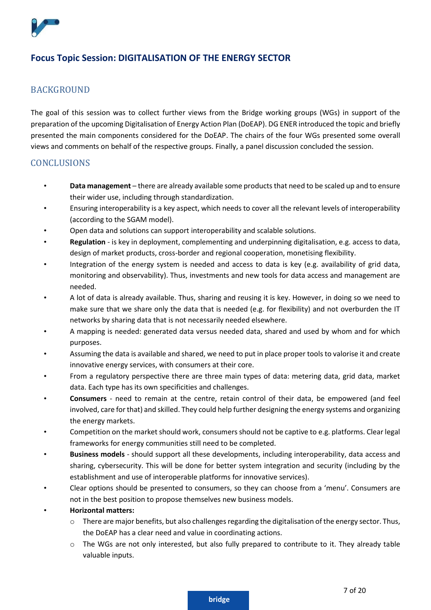

# <span id="page-6-0"></span>**Focus Topic Session: DIGITALISATION OF THE ENERGY SECTOR**

#### <span id="page-6-1"></span>**BACKGROUND**

The goal of this session was to collect further views from the Bridge working groups (WGs) in support of the preparation of the upcoming Digitalisation of Energy Action Plan (DoEAP). DG ENER introduced the topic and briefly presented the main components considered for the DoEAP. The chairs of the four WGs presented some overall views and comments on behalf of the respective groups. Finally, a panel discussion concluded the session.

#### <span id="page-6-2"></span>**CONCLUSIONS**

- **Data management** there are already available some products that need to be scaled up and to ensure their wider use, including through standardization.
- Ensuring interoperability is a key aspect, which needs to cover all the relevant levels of interoperability (according to the SGAM model).
- Open data and solutions can support interoperability and scalable solutions.
- **Regulation** is key in deployment, complementing and underpinning digitalisation, e.g. access to data, design of market products, cross-border and regional cooperation, monetising flexibility.
- Integration of the energy system is needed and access to data is key (e.g. availability of grid data, monitoring and observability). Thus, investments and new tools for data access and management are needed.
- A lot of data is already available. Thus, sharing and reusing it is key. However, in doing so we need to make sure that we share only the data that is needed (e.g. for flexibility) and not overburden the IT networks by sharing data that is not necessarily needed elsewhere.
- A mapping is needed: generated data versus needed data, shared and used by whom and for which purposes.
- Assuming the data is available and shared, we need to put in place proper tools to valorise it and create innovative energy services, with consumers at their core.
- From a regulatory perspective there are three main types of data: metering data, grid data, market data. Each type has its own specificities and challenges.
- **Consumers** need to remain at the centre, retain control of their data, be empowered (and feel involved, care for that) and skilled. They could help further designing the energy systems and organizing the energy markets.
- Competition on the market should work, consumers should not be captive to e.g. platforms. Clear legal frameworks for energy communities still need to be completed.
- **Business models** should support all these developments, including interoperability, data access and sharing, cybersecurity. This will be done for better system integration and security (including by the establishment and use of interoperable platforms for innovative services).
- Clear options should be presented to consumers, so they can choose from a 'menu'. Consumers are not in the best position to propose themselves new business models.
- **Horizontal matters:**
	- $\circ$  There are major benefits, but also challenges regarding the digitalisation of the energy sector. Thus, the DoEAP has a clear need and value in coordinating actions.
	- $\circ$  The WGs are not only interested, but also fully prepared to contribute to it. They already table valuable inputs.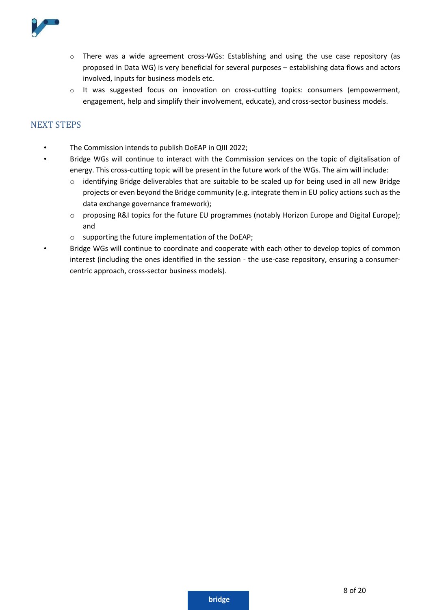

- o There was a wide agreement cross-WGs: Establishing and using the use case repository (as proposed in Data WG) is very beneficial for several purposes – establishing data flows and actors involved, inputs for business models etc.
- o It was suggested focus on innovation on cross-cutting topics: consumers (empowerment, engagement, help and simplify their involvement, educate), and cross-sector business models.

#### <span id="page-7-0"></span>NEXT STEPS

- The Commission intends to publish DoEAP in QIII 2022;
- Bridge WGs will continue to interact with the Commission services on the topic of digitalisation of energy. This cross-cutting topic will be present in the future work of the WGs. The aim will include:
	- o identifying Bridge deliverables that are suitable to be scaled up for being used in all new Bridge projects or even beyond the Bridge community (e.g. integrate them in EU policy actions such as the data exchange governance framework);
	- o proposing R&I topics for the future EU programmes (notably Horizon Europe and Digital Europe); and
	- o supporting the future implementation of the DoEAP;
- Bridge WGs will continue to coordinate and cooperate with each other to develop topics of common interest (including the ones identified in the session - the use-case repository, ensuring a consumercentric approach, cross-sector business models).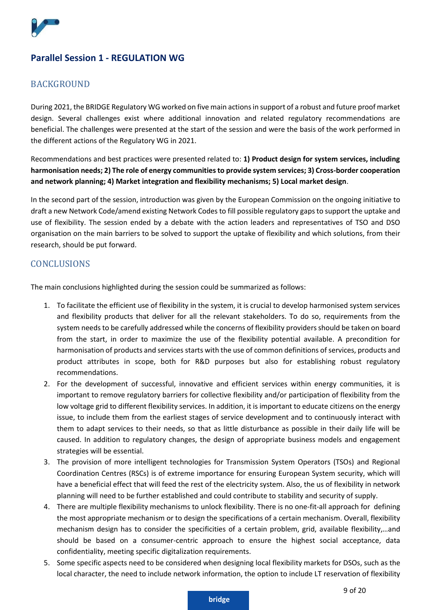

# <span id="page-8-0"></span>**Parallel Session 1 - REGULATION WG**

#### <span id="page-8-1"></span>**BACKGROUND**

During 2021, the BRIDGE Regulatory WG worked on five main actions in support of a robust and future proof market design. Several challenges exist where additional innovation and related regulatory recommendations are beneficial. The challenges were presented at the start of the session and were the basis of the work performed in the different actions of the Regulatory WG in 2021.

Recommendations and best practices were presented related to: **1) Product design for system services, including harmonisation needs; 2) The role of energy communities to provide system services; 3) Cross-border cooperation and network planning; 4) Market integration and flexibility mechanisms; 5) Local market design**.

In the second part of the session, introduction was given by the European Commission on the ongoing initiative to draft a new Network Code/amend existing Network Codes to fill possible regulatory gaps to support the uptake and use of flexibility. The session ended by a debate with the action leaders and representatives of TSO and DSO organisation on the main barriers to be solved to support the uptake of flexibility and which solutions, from their research, should be put forward.

#### <span id="page-8-2"></span>**CONCLUSIONS**

The main conclusions highlighted during the session could be summarized as follows:

- 1. To facilitate the efficient use of flexibility in the system, it is crucial to develop harmonised system services and flexibility products that deliver for all the relevant stakeholders. To do so, requirements from the system needs to be carefully addressed while the concerns of flexibility providers should be taken on board from the start, in order to maximize the use of the flexibility potential available. A precondition for harmonisation of products and services starts with the use of common definitions of services, products and product attributes in scope, both for R&D purposes but also for establishing robust regulatory recommendations.
- 2. For the development of successful, innovative and efficient services within energy communities, it is important to remove regulatory barriers for collective flexibility and/or participation of flexibility from the low voltage grid to different flexibility services. In addition, it is important to educate citizens on the energy issue, to include them from the earliest stages of service development and to continuously interact with them to adapt services to their needs, so that as little disturbance as possible in their daily life will be caused. In addition to regulatory changes, the design of appropriate business models and engagement strategies will be essential.
- 3. The provision of more intelligent technologies for Transmission System Operators (TSOs) and Regional Coordination Centres (RSCs) is of extreme importance for ensuring European System security, which will have a beneficial effect that will feed the rest of the electricity system. Also, the us of flexibility in network planning will need to be further established and could contribute to stability and security of supply.
- 4. There are multiple flexibility mechanisms to unlock flexibility. There is no one-fit-all approach for defining the most appropriate mechanism or to design the specifications of a certain mechanism. Overall, flexibility mechanism design has to consider the specificities of a certain problem, grid, available flexibility,…and should be based on a consumer-centric approach to ensure the highest social acceptance, data confidentiality, meeting specific digitalization requirements.
- 5. Some specific aspects need to be considered when designing local flexibility markets for DSOs, such as the local character, the need to include network information, the option to include LT reservation of flexibility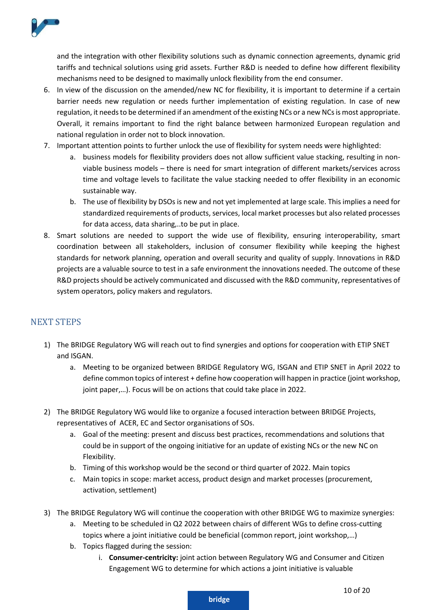

and the integration with other flexibility solutions such as dynamic connection agreements, dynamic grid tariffs and technical solutions using grid assets. Further R&D is needed to define how different flexibility mechanisms need to be designed to maximally unlock flexibility from the end consumer.

- 6. In view of the discussion on the amended/new NC for flexibility, it is important to determine if a certain barrier needs new regulation or needs further implementation of existing regulation. In case of new regulation, it needs to be determined if an amendment of the existing NCs or a new NCs is most appropriate. Overall, it remains important to find the right balance between harmonized European regulation and national regulation in order not to block innovation.
- 7. Important attention points to further unlock the use of flexibility for system needs were highlighted:
	- a. business models for flexibility providers does not allow sufficient value stacking, resulting in nonviable business models – there is need for smart integration of different markets/services across time and voltage levels to facilitate the value stacking needed to offer flexibility in an economic sustainable way.
	- b. The use of flexibility by DSOs is new and not yet implemented at large scale. This implies a need for standardized requirements of products, services, local market processes but also related processes for data access, data sharing,..to be put in place.
- 8. Smart solutions are needed to support the wide use of flexibility, ensuring interoperability, smart coordination between all stakeholders, inclusion of consumer flexibility while keeping the highest standards for network planning, operation and overall security and quality of supply. Innovations in R&D projects are a valuable source to test in a safe environment the innovations needed. The outcome of these R&D projects should be actively communicated and discussed with the R&D community, representatives of system operators, policy makers and regulators.

# <span id="page-9-0"></span>NEXT STEPS

- 1) The BRIDGE Regulatory WG will reach out to find synergies and options for cooperation with ETIP SNET and ISGAN.
	- a. Meeting to be organized between BRIDGE Regulatory WG, ISGAN and ETIP SNET in April 2022 to define common topics of interest + define how cooperation will happen in practice (joint workshop, joint paper,…). Focus will be on actions that could take place in 2022.
- 2) The BRIDGE Regulatory WG would like to organize a focused interaction between BRIDGE Projects, representatives of ACER, EC and Sector organisations of SOs.
	- a. Goal of the meeting: present and discuss best practices, recommendations and solutions that could be in support of the ongoing initiative for an update of existing NCs or the new NC on Flexibility.
	- b. Timing of this workshop would be the second or third quarter of 2022. Main topics
	- c. Main topics in scope: market access, product design and market processes (procurement, activation, settlement)
- 3) The BRIDGE Regulatory WG will continue the cooperation with other BRIDGE WG to maximize synergies:
	- a. Meeting to be scheduled in Q2 2022 between chairs of different WGs to define cross-cutting topics where a joint initiative could be beneficial (common report, joint workshop,…)
	- b. Topics flagged during the session:
		- i. **Consumer-centricity:** joint action between Regulatory WG and Consumer and Citizen Engagement WG to determine for which actions a joint initiative is valuable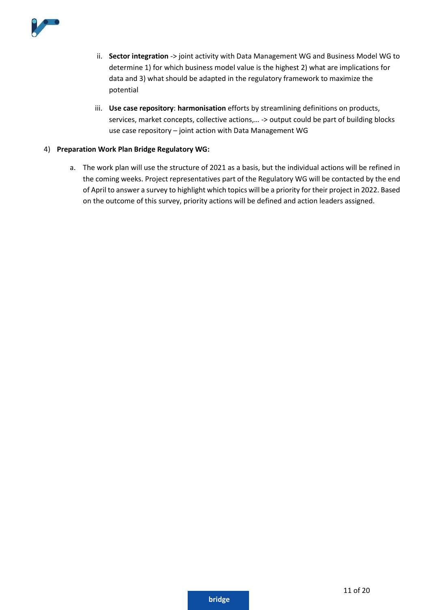

- ii. **Sector integration** -> joint activity with Data Management WG and Business Model WG to determine 1) for which business model value is the highest 2) what are implications for data and 3) what should be adapted in the regulatory framework to maximize the potential
- iii. **Use case repository**: **harmonisation** efforts by streamlining definitions on products, services, market concepts, collective actions,… -> output could be part of building blocks use case repository – joint action with Data Management WG

#### 4) **Preparation Work Plan Bridge Regulatory WG:**

a. The work plan will use the structure of 2021 as a basis, but the individual actions will be refined in the coming weeks. Project representatives part of the Regulatory WG will be contacted by the end of April to answer a survey to highlight which topics will be a priority for their project in 2022. Based on the outcome of this survey, priority actions will be defined and action leaders assigned.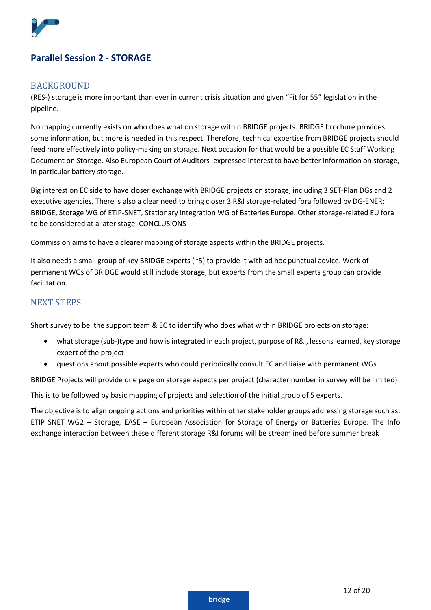

# <span id="page-11-1"></span><span id="page-11-0"></span>**Parallel Session 2 - STORAGE**

#### **BACKGROUND**

(RES-) storage is more important than ever in current crisis situation and given "Fit for 55" legislation in the pipeline.

No mapping currently exists on who does what on storage within BRIDGE projects. BRIDGE brochure provides some information, but more is needed in this respect. Therefore, technical expertise from BRIDGE projects should feed more effectively into policy-making on storage. Next occasion for that would be a possible EC Staff Working Document on Storage. Also European Court of Auditors expressed interest to have better information on storage, in particular battery storage.

Big interest on EC side to have closer exchange with BRIDGE projects on storage, including 3 SET-Plan DGs and 2 executive agencies. There is also a clear need to bring closer 3 R&I storage-related fora followed by DG-ENER: BRIDGE, Storage WG of ETIP-SNET, Stationary integration WG of Batteries Europe. Other storage-related EU fora to be considered at a later stage. CONCLUSIONS

<span id="page-11-2"></span>Commission aims to have a clearer mapping of storage aspects within the BRIDGE projects.

It also needs a small group of key BRIDGE experts (~5) to provide it with ad hoc punctual advice. Work of permanent WGs of BRIDGE would still include storage, but experts from the small experts group can provide facilitation.

#### <span id="page-11-3"></span>NEXT STEPS

Short survey to be the support team & EC to identify who does what within BRIDGE projects on storage:

- what storage (sub-)type and how is integrated in each project, purpose of R&I, lessons learned, key storage expert of the project
- questions about possible experts who could periodically consult EC and liaise with permanent WGs

BRIDGE Projects will provide one page on storage aspects per project (character number in survey will be limited)

This is to be followed by basic mapping of projects and selection of the initial group of 5 experts.

<span id="page-11-4"></span>The objective is to align ongoing actions and priorities within other stakeholder groups addressing storage such as: ETIP SNET WG2 – Storage, EASE – European Association for Storage of Energy or Batteries Europe. The Info exchange interaction between these different storage R&I forums will be streamlined before summer break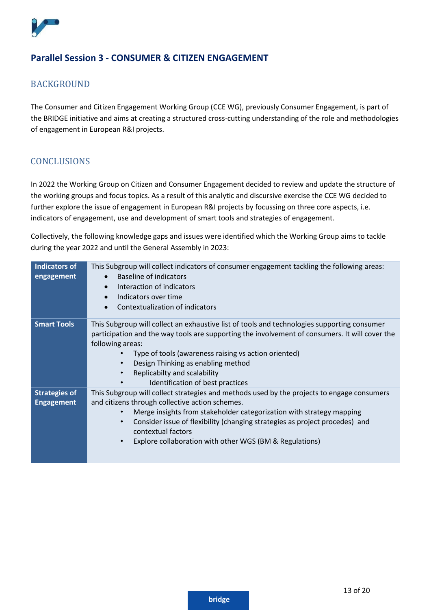

# **Parallel Session 3 - CONSUMER & CITIZEN ENGAGEMENT**

#### <span id="page-12-0"></span>BACKGROUND

The Consumer and Citizen Engagement Working Group (CCE WG), previously Consumer Engagement, is part of the BRIDGE initiative and aims at creating a structured cross-cutting understanding of the role and methodologies of engagement in European R&I projects.

#### <span id="page-12-1"></span>CONCLUSIONS

In 2022 the Working Group on Citizen and Consumer Engagement decided to review and update the structure of the working groups and focus topics. As a result of this analytic and discursive exercise the CCE WG decided to further explore the issue of engagement in European R&I projects by focussing on three core aspects, i.e. indicators of engagement, use and development of smart tools and strategies of engagement.

Collectively, the following knowledge gaps and issues were identified which the Working Group aims to tackle during the year 2022 and until the General Assembly in 2023:

| This Subgroup will collect indicators of consumer engagement tackling the following areas:<br><b>Baseline of indicators</b><br>$\bullet$<br>Interaction of indicators<br>$\bullet$<br>Indicators over time<br>$\bullet$<br>Contextualization of indicators<br>$\bullet$                                                                                                                                                      |
|------------------------------------------------------------------------------------------------------------------------------------------------------------------------------------------------------------------------------------------------------------------------------------------------------------------------------------------------------------------------------------------------------------------------------|
| This Subgroup will collect an exhaustive list of tools and technologies supporting consumer<br>participation and the way tools are supporting the involvement of consumers. It will cover the<br>following areas:<br>Type of tools (awareness raising vs action oriented)<br>Design Thinking as enabling method<br>$\bullet$<br>Replicabilty and scalability<br>$\bullet$<br>Identification of best practices                |
| This Subgroup will collect strategies and methods used by the projects to engage consumers<br>and citizens through collective action schemes.<br>Merge insights from stakeholder categorization with strategy mapping<br>$\bullet$<br>Consider issue of flexibility (changing strategies as project procedes) and<br>$\bullet$<br>contextual factors<br>Explore collaboration with other WGS (BM & Regulations)<br>$\bullet$ |
|                                                                                                                                                                                                                                                                                                                                                                                                                              |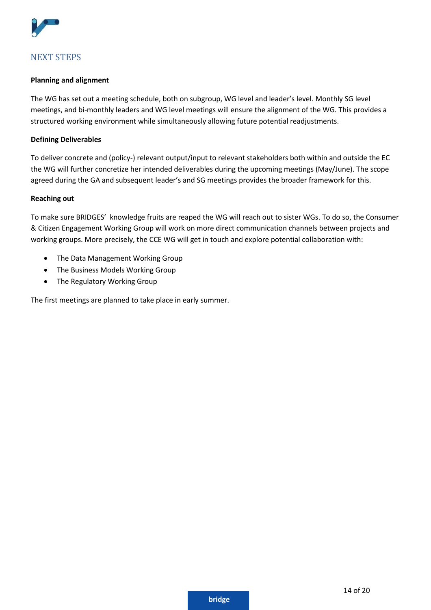

# <span id="page-13-0"></span>NEXT STEPS

#### **Planning and alignment**

The WG has set out a meeting schedule, both on subgroup, WG level and leader's level. Monthly SG level meetings, and bi-monthly leaders and WG level meetings will ensure the alignment of the WG. This provides a structured working environment while simultaneously allowing future potential readjustments.

#### **Defining Deliverables**

To deliver concrete and (policy-) relevant output/input to relevant stakeholders both within and outside the EC the WG will further concretize her intended deliverables during the upcoming meetings (May/June). The scope agreed during the GA and subsequent leader's and SG meetings provides the broader framework for this.

#### **Reaching out**

To make sure BRIDGES' knowledge fruits are reaped the WG will reach out to sister WGs. To do so, the Consumer & Citizen Engagement Working Group will work on more direct communication channels between projects and working groups. More precisely, the CCE WG will get in touch and explore potential collaboration with:

- The Data Management Working Group
- The Business Models Working Group
- The Regulatory Working Group

The first meetings are planned to take place in early summer.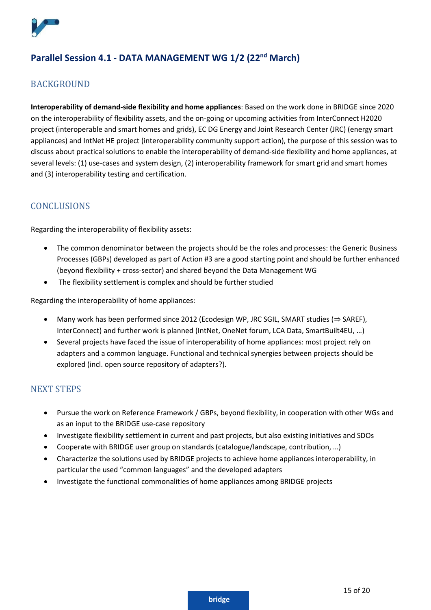

# <span id="page-14-0"></span>**Parallel Session 4.1 - DATA MANAGEMENT WG 1/2 (22nd March)**

#### <span id="page-14-1"></span>**BACKGROUND**

**Interoperability of demand-side flexibility and home appliances**: Based on the work done in BRIDGE since 2020 on the interoperability of flexibility assets, and the on-going or upcoming activities from InterConnect H2020 project (interoperable and smart homes and grids), EC DG Energy and Joint Research Center (JRC) (energy smart appliances) and IntNet HE project (interoperability community support action), the purpose of this session was to discuss about practical solutions to enable the interoperability of demand-side flexibility and home appliances, at several levels: (1) use-cases and system design, (2) interoperability framework for smart grid and smart homes and (3) interoperability testing and certification.

# <span id="page-14-2"></span>**CONCLUSIONS**

Regarding the interoperability of flexibility assets:

- The common denominator between the projects should be the roles and processes: the Generic Business Processes (GBPs) developed as part of Action #3 are a good starting point and should be further enhanced (beyond flexibility + cross-sector) and shared beyond the Data Management WG
- The flexibility settlement is complex and should be further studied

Regarding the interoperability of home appliances:

- Many work has been performed since 2012 (Ecodesign WP, JRC SGIL, SMART studies (⇒ SAREF), InterConnect) and further work is planned (IntNet, OneNet forum, LCA Data, SmartBuilt4EU, …)
- Several projects have faced the issue of interoperability of home appliances: most project rely on adapters and a common language. Functional and technical synergies between projects should be explored (incl. open source repository of adapters?).

# <span id="page-14-3"></span>NEXT STEPS

- Pursue the work on Reference Framework / GBPs, beyond flexibility, in cooperation with other WGs and as an input to the BRIDGE use-case repository
- Investigate flexibility settlement in current and past projects, but also existing initiatives and SDOs
- Cooperate with BRIDGE user group on standards (catalogue/landscape, contribution, …)
- Characterize the solutions used by BRIDGE projects to achieve home appliances interoperability, in particular the used "common languages" and the developed adapters
- Investigate the functional commonalities of home appliances among BRIDGE projects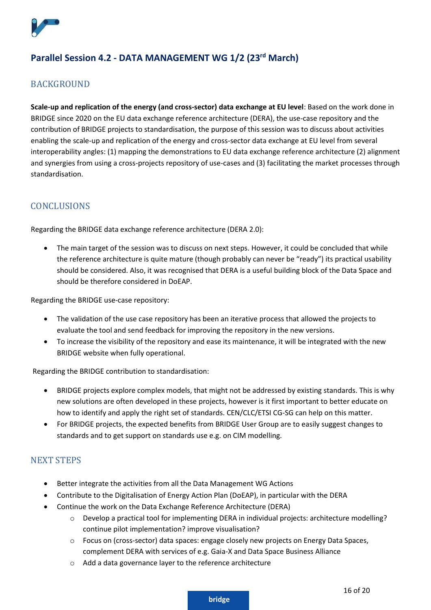

# <span id="page-15-0"></span>**Parallel Session 4.2 - DATA MANAGEMENT WG 1/2 (23rd March)**

# <span id="page-15-1"></span>**BACKGROUND**

**Scale-up and replication of the energy (and cross-sector) data exchange at EU level**: Based on the work done in BRIDGE since 2020 on the EU data exchange reference architecture (DERA), the use-case repository and the contribution of BRIDGE projects to standardisation, the purpose of this session was to discuss about activities enabling the scale-up and replication of the energy and cross-sector data exchange at EU level from several interoperability angles: (1) mapping the demonstrations to EU data exchange reference architecture (2) alignment and synergies from using a cross-projects repository of use-cases and (3) facilitating the market processes through standardisation.

# <span id="page-15-2"></span>**CONCLUSIONS**

<span id="page-15-3"></span>Regarding the BRIDGE data exchange reference architecture (DERA 2.0):

• The main target of the session was to discuss on next steps. However, it could be concluded that while the reference architecture is quite mature (though probably can never be "ready") its practical usability should be considered. Also, it was recognised that DERA is a useful building block of the Data Space and should be therefore considered in DoEAP.

Regarding the BRIDGE use-case repository:

- The validation of the use case repository has been an iterative process that allowed the projects to evaluate the tool and send feedback for improving the repository in the new versions.
- To increase the visibility of the repository and ease its maintenance, it will be integrated with the new BRIDGE website when fully operational.

Regarding the BRIDGE contribution to standardisation:

- BRIDGE projects explore complex models, that might not be addressed by existing standards. This is why new solutions are often developed in these projects, however is it first important to better educate on how to identify and apply the right set of standards. CEN/CLC/ETSI CG-SG can help on this matter.
- For BRIDGE projects, the expected benefits from BRIDGE User Group are to easily suggest changes to standards and to get support on standards use e.g. on CIM modelling.

# NEXT STEPS

- Better integrate the activities from all the Data Management WG Actions
- Contribute to the Digitalisation of Energy Action Plan (DoEAP), in particular with the DERA
- Continue the work on the Data Exchange Reference Architecture (DERA)
	- $\circ$  Develop a practical tool for implementing DERA in individual projects: architecture modelling? continue pilot implementation? improve visualisation?
	- o Focus on (cross-sector) data spaces: engage closely new projects on Energy Data Spaces, complement DERA with services of e.g. Gaia-X and Data Space Business Alliance
	- o Add a data governance layer to the reference architecture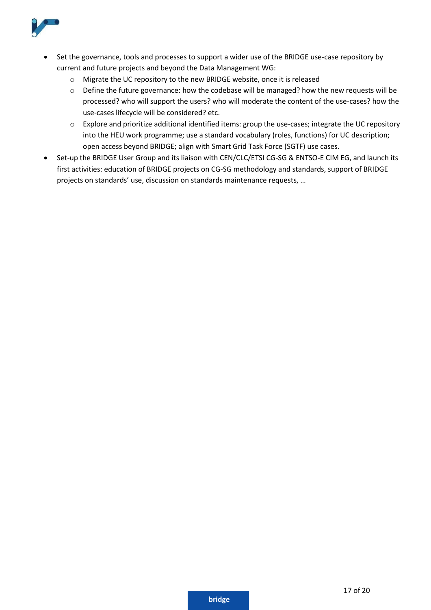

- Set the governance, tools and processes to support a wider use of the BRIDGE use-case repository by current and future projects and beyond the Data Management WG:
	- o Migrate the UC repository to the new BRIDGE website, once it is released
	- o Define the future governance: how the codebase will be managed? how the new requests will be processed? who will support the users? who will moderate the content of the use-cases? how the use-cases lifecycle will be considered? etc.
	- o Explore and prioritize additional identified items: group the use-cases; integrate the UC repository into the HEU work programme; use a standard vocabulary (roles, functions) for UC description; open access beyond BRIDGE; align with Smart Grid Task Force (SGTF) use cases.
- Set-up the BRIDGE User Group and its liaison with CEN/CLC/ETSI CG-SG & ENTSO-E CIM EG, and launch its first activities: education of BRIDGE projects on CG-SG methodology and standards, support of BRIDGE projects on standards' use, discussion on standards maintenance requests, …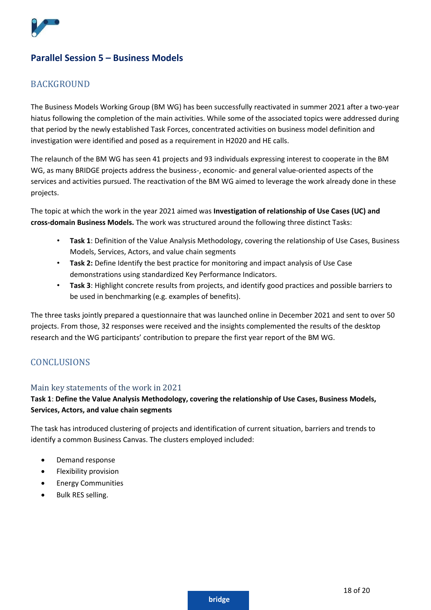

# <span id="page-17-0"></span>**Parallel Session 5 – Business Models**

#### <span id="page-17-1"></span>**BACKGROUND**

The Business Models Working Group (BM WG) has been successfully reactivated in summer 2021 after a two-year hiatus following the completion of the main activities. While some of the associated topics were addressed during that period by the newly established Task Forces, concentrated activities on business model definition and investigation were identified and posed as a requirement in H2020 and HE calls.

The relaunch of the BM WG has seen 41 projects and 93 individuals expressing interest to cooperate in the BM WG, as many BRIDGE projects address the business-, economic- and general value-oriented aspects of the services and activities pursued. The reactivation of the BM WG aimed to leverage the work already done in these projects.

The topic at which the work in the year 2021 aimed was **Investigation of relationship of Use Cases (UC) and cross-domain Business Models.** The work was structured around the following three distinct Tasks:

- **Task 1**: Definition of the Value Analysis Methodology, covering the relationship of Use Cases, Business Models, Services, Actors, and value chain segments
- **Task 2:** Define Identify the best practice for monitoring and impact analysis of Use Case demonstrations using standardized Key Performance Indicators.
- **Task 3**: Highlight concrete results from projects, and identify good practices and possible barriers to be used in benchmarking (e.g. examples of benefits).

The three tasks jointly prepared a questionnaire that was launched online in December 2021 and sent to over 50 projects. From those, 32 responses were received and the insights complemented the results of the desktop research and the WG participants' contribution to prepare the first year report of the BM WG.

# <span id="page-17-3"></span><span id="page-17-2"></span>**CONCLUSIONS**

#### Main key statements of the work in 2021

#### **Task 1**: **Define the Value Analysis Methodology, covering the relationship of Use Cases, Business Models, Services, Actors, and value chain segments**

The task has introduced clustering of projects and identification of current situation, barriers and trends to identify a common Business Canvas. The clusters employed included:

- Demand response
- Flexibility provision
- Energy Communities
- Bulk RES selling.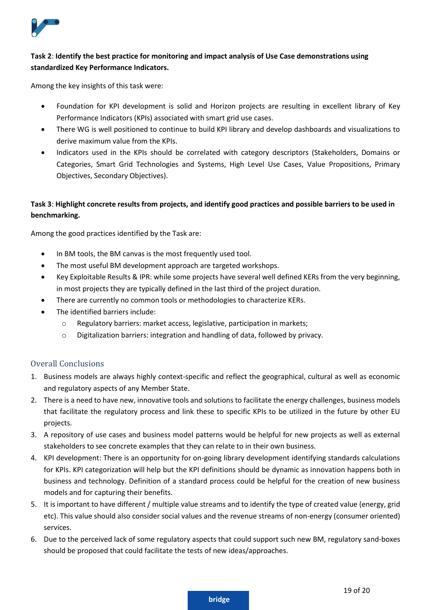

#### **Task 2**: **Identify the best practice for monitoring and impact analysis of Use Case demonstrations using standardized Key Performance Indicators.**

Among the key insights of this task were:

- Foundation for KPI development is solid and Horizon projects are resulting in excellent library of Key Performance Indicators (KPIs) associated with smart grid use cases.
- There WG is well positioned to continue to build KPI library and develop dashboards and visualizations to derive maximum value from the KPIs.
- Indicators used in the KPIs should be correlated with category descriptors (Stakeholders, Domains or Categories, Smart Grid Technologies and Systems, High Level Use Cases, Value Propositions, Primary Objectives, Secondary Objectives).

#### **Task 3**: **Highlight concrete results from projects, and identify good practices and possible barriers to be used in benchmarking.**

Among the good practices identified by the Task are:

- In BM tools, the BM canvas is the most frequently used tool.
- The most useful BM development approach are targeted workshops.
- Key Exploitable Results & IPR: while some projects have several well defined KERs from the very beginning, in most projects they are typically defined in the last third of the project duration.
- There are currently no common tools or methodologies to characterize KERs.
- The identified barriers include:
	- o Regulatory barriers: market access, legislative, participation in markets;
	- o Digitalization barriers: integration and handling of data, followed by privacy.

#### Overall Conclusions

- 1. Business models are always highly context-specific and reflect the geographical, cultural as well as economic and regulatory aspects of any Member State.
- 2. There is a need to have new, innovative tools and solutions to facilitate the energy challenges, business models that facilitate the regulatory process and link these to specific KPIs to be utilized in the future by other EU projects.
- 3. A repository of use cases and business model patterns would be helpful for new projects as well as external stakeholders to see concrete examples that they can relate to in their own business.
- 4. KPI development: There is an opportunity for on-going library development identifying standards calculations for KPIs. KPI categorization will help but the KPI definitions should be dynamic as innovation happens both in business and technology. Definition of a standard process could be helpful for the creation of new business models and for capturing their benefits.
- 5. It is important to have different / multiple value streams and to identify the type of created value (energy, grid etc). This value should also consider social values and the revenue streams of non-energy (consumer oriented) services.
- 6. Due to the perceived lack of some regulatory aspects that could support such new BM, regulatory sand-boxes should be proposed that could facilitate the tests of new ideas/approaches.

19 of 20